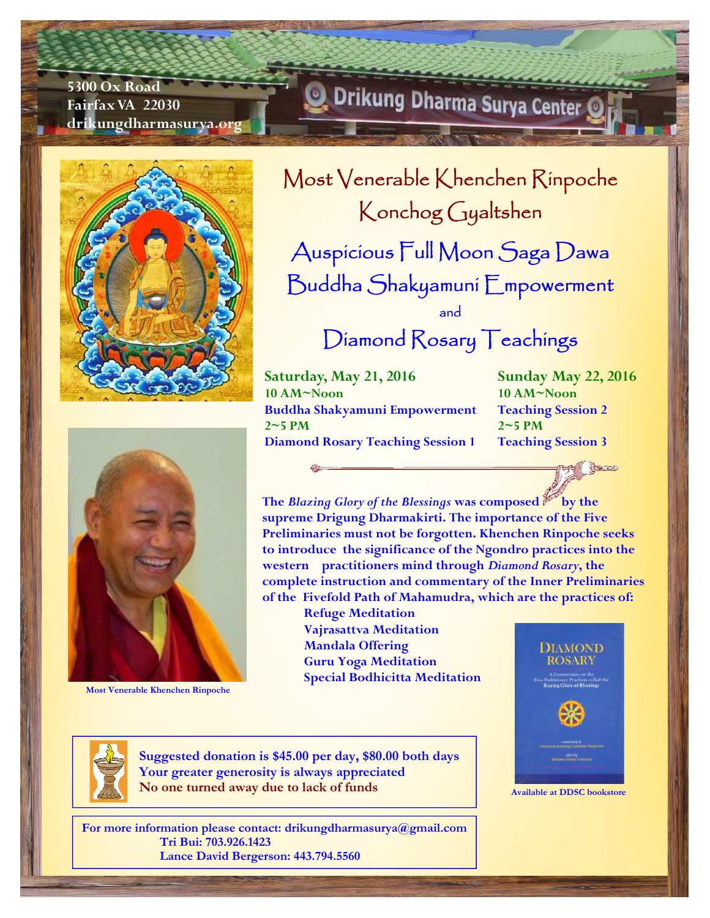**5300 Ox Road Fairfax VA 22030 drikungdharmasurya.org** 





**Most Venerable Khenchen Rinpoche** 

## Drikung Dharma Surya Center

Most Venerable Khenchen Rinpoche Konchog Gyaltshen Auspicious Full Moon Saga Dawa Buddha Shakyamuni Empowerment and

## Diamond Rosary Teachings

**Saturday, May 21, 2016 10 AM~Noon Buddha Shakyamuni Empowerment 2~5 PM Diamond Rosary Teaching Session 1** 

**Sunday May 22, 2016 10 AM~Noon Teaching Session 2 2~5 PM Teaching Session 3** 

∰ক্ষেত

**The** *Blazing Glory of the Blessings* **was composed by the supreme Drigung Dharmakirti. The importance of the Five Preliminaries must not be forgotten. Khenchen Rinpoche seeks to introduce the significance of the Ngondro practices into the western practitioners mind through** *Diamond Rosary***, the complete instruction and commentary of the Inner Preliminaries of the Fivefold Path of Mahamudra, which are the practices of:** 

> **Refuge Meditation Vajrasattva Meditation Mandala Offering Guru Yoga Meditation Special Bodhicitta Meditation**



**Available at DDSC bookstore** 

**Suggested donation is \$45.00 per day, \$80.00 both days Your greater generosity is always appreciated No one turned away due to lack of funds** 

**For more information please contact: drikungdharmasurya@gmail.com Tri Bui: 703.926.1423 Lance David Bergerson: 443.794.5560**